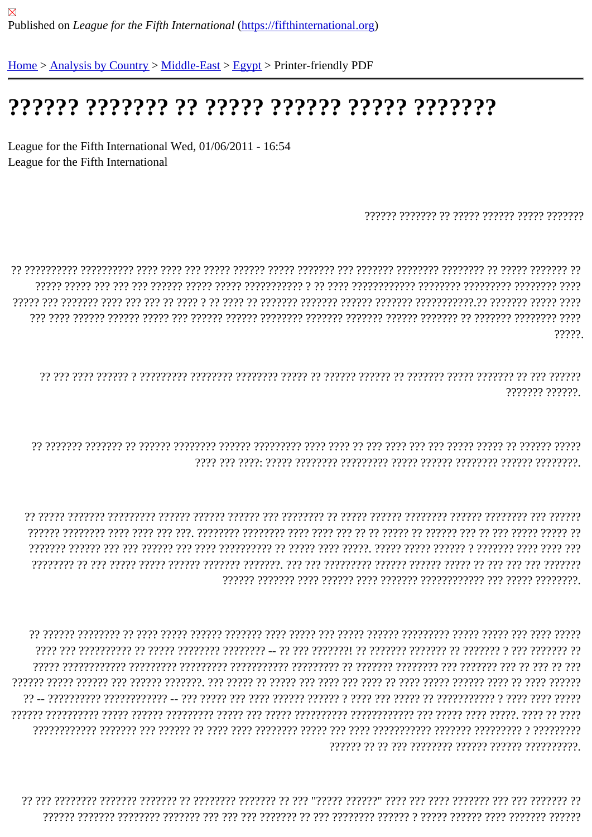## 

League for the Fifth International Wed, 01/06/2011 - 16:54 League for the Fifth International

ירררררך ררכון רובררך הרכון לרובר הרכון רובר הרכון לרובר הרכון הרכון לרובר הרכון לרך רכון רכון הרכון הרכון ל ?????

??????? ??????.

רררך רררכך ררך ררך ררך ררך ררך רך ררכך ררכך ררכבורך ררכבור ררכבורך ררכבורך ררכבור רך ררכבוררך ררכבורך רך 

ור ררברבר ברברכבר ברברכך ברבר ברבר בר ברברכבר ברב ברברכב ברברכב ברברכב ברברכבר ברברכב ברברכב ברברכב בר 

? רְרְרְרְרָךְ רְרָרָךְ רְרָךָ רְרָרָךְ יִרְרְרָרָךָ רְרָרְרָיִ יִרְרָרְרָךְ רְרָרְרָרָרָ רְרָרְרָרָרָ רְרָרְרָרָךָ רְרָרְרָרָךָ רְרָרְרָרָךְ בְּלֹוֹבְלֹךְ הַלְרָרָרָ הַלְר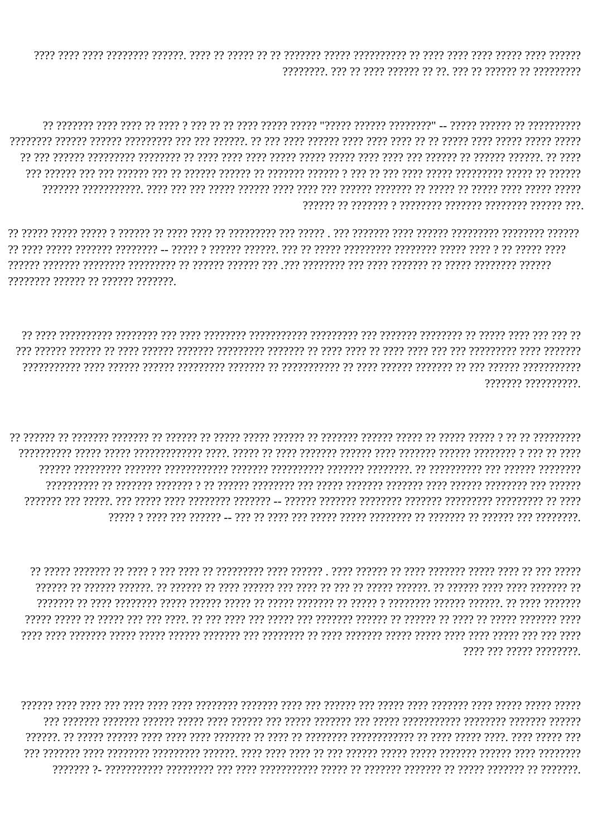ררכברכך בך ברכבר בכרכברכבר בכברב בכבר בכך בך בכך ב בפרכבר בכרכבר בר בכרכבר בכרכבר כך בכך בכרכבר בכך בכך בכרכבר בכך 

רורורור ברברכבריך ברברכבריך ברברכבר בכבר ברברכבר בכך - בכברך בכך ברברכברכבר בך בכבר בר ברברכבר ב בכברך ברברכב בכברב בר 11111111 111111 11 111111 1111111

רר ררר ררר רררר רררר רר ברכבורורר ברברכבים ברך ברכבורורר ברברכבורר ברכבוררר ברכבי ברר ברכבוררה ברכבורכבים ברכב בר 

ויריריר רור ברכמוריר ברכבית ברכב ברכבית ברכבית ברכבי ברך ברכביתים ברכבית בר ב ברכבית ברכביתים בר ברכביתים וממרמרים בכך בכברים בך בכברכם בך בכבריכב ברובים בכבר בכבר בכך בכבר בכך בכך ב-בכברים בכך בכבר ב-בכבר ב

1111 111 11111 11111111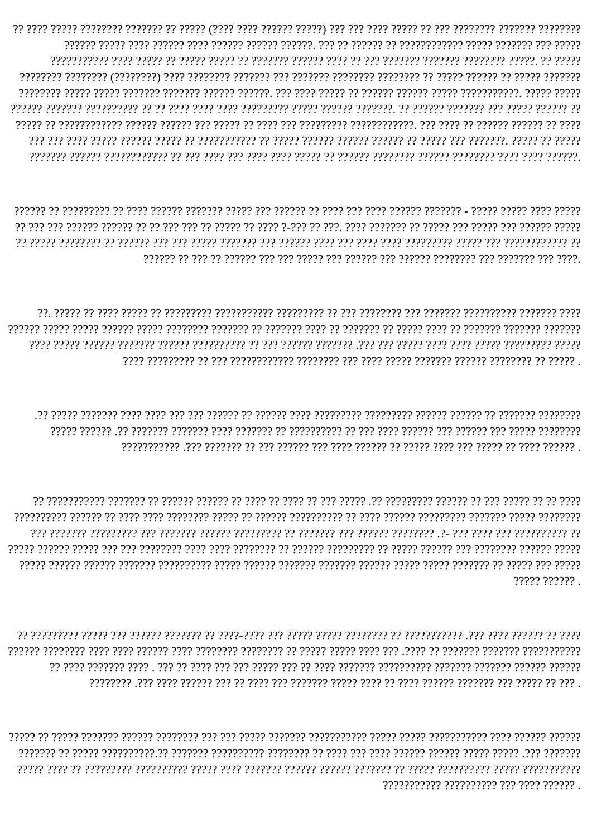וירירי רירי ריכיריכי בירירי ברכבורוביריביר כך ביריכיבי בי ביר ברכבור ביריכים ביריכיבי בכבר בכבור ביריר ברכבו ב 

רורור רור רורורור רור ורוכורור ורורורו לרורור הור ורורורו רור רורור רור רור ורורור רו הרו רו ורורור

ררכביר ברברכבריבר ברכבי בכבר בכבר ברכב בכך בכך. ברברכבר ברכביר בכך בר ברכברכביר ברברכב ברברכבר ברכביר ברבבר בר 

ריר היהיהיהיהיהיה היה היהיב היה בי "היהיהיה" היהיהיה היה היהיהיה הי היהיה היהיהיה היהיהיה היה היהיהיה היהיהיה היה ויוירי ויוי ריויר וי ויויוירי ויוירי ויוירי ויויריו ויויוירי ויויריוי ויוירי ויוירי ויויריני ויויריו ויוירי ויוירי ויוירי ????? ??????

רור רך היה הרופן היה הרהרהכיר הרהרה הרהב הי הרה הרופה הרהרהר הרה הרה היה הרה הרהבה הרה היה הרהבהרהר

רורורור רורורור רורור ורורורורורורור ורורור רורורו רורורורורורור ורורורו רורור רור רורורורור ורורורור ורורור הרורור ורורור ווירוריר רוב. ברכבר ברכבר ברכבר ברכבר ברכב ברך ברכב בר ברכבובר ברכבוברים ברכבובר בר ברכבוברים ברכבר בר ברכבריב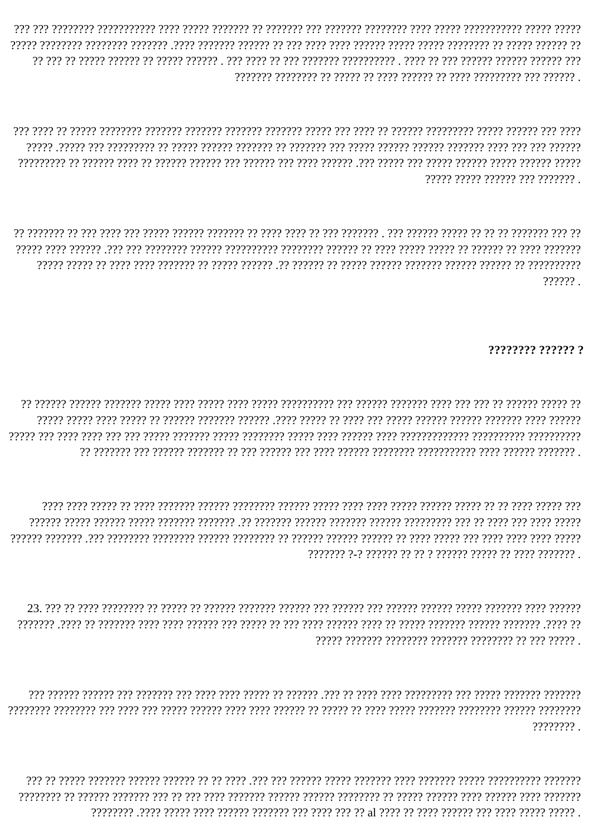ויו ממממר מממיר מו ממממממי מממיר ממממך מממיר מממי ממר מי ממממר ממממר ממממיר מממממר מממממית ממממות מממ 

רך ררך ברכבורה בך בך בך ברכבון ברכבור ברך. ברכבורים ברך בך ברכבור ברכב ברכבורת ברכבור ברכב ברך ברך בך ברכבור בר  $22222$ 

## ???????? ?????? ?

רך ררכבר ברכבר בך ברך ברך ברכב ברכברים ברכברי ברך ברכברכברים ברכבר ברכב ברכבי ברכב ברכבר ברכברי ברכברי ברכבר בר רררכרכך בכרכ ברכברכבר ברכברכך ברכברכך בכרכב בכך ברכב בר ברכבר בכרכ. ברכברה ברכברכך בר ברכבר ברכב ברכבר ברכבר ברכבר 

רורורורר רורורורר רורור רור ברורורורור ברור רורר רו רור ברורור רו ברורר רורור ורור רורר רור ברורור ברורור ברורור רור ???????

ווירוריר וורוורורור ורורו ברכובו בירך ברורור ברורוך ברכובו ביר ביר ביר ביר ביר כך ברורוך ברכובו ברכובו ברכוב ב . מממי מממי מממי ממי ממממי ממים מי ממים 91 מי ממי ממי ממי ממממים ממממי ממים מממים ממים. מממממים